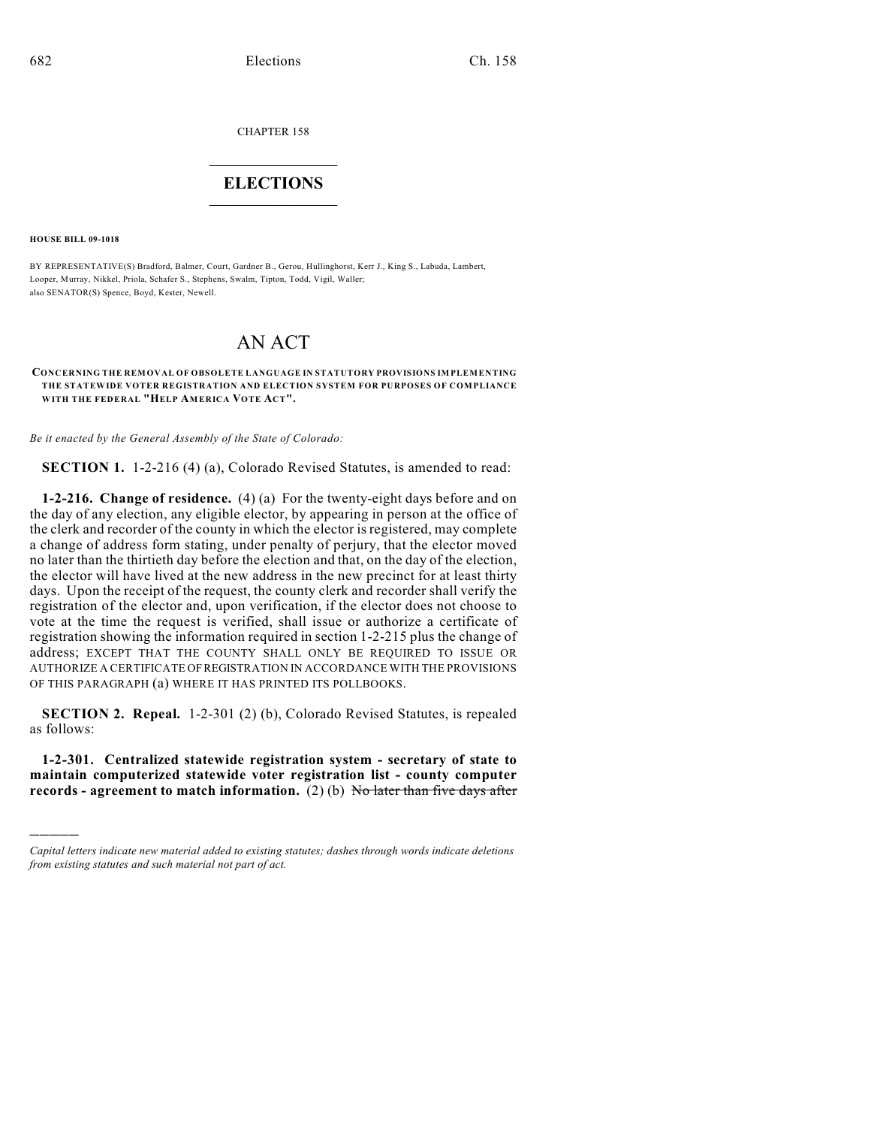CHAPTER 158

## $\mathcal{L}_\text{max}$  . The set of the set of the set of the set of the set of the set of the set of the set of the set of the set of the set of the set of the set of the set of the set of the set of the set of the set of the set **ELECTIONS**  $\_$

**HOUSE BILL 09-1018**

)))))

BY REPRESENTATIVE(S) Bradford, Balmer, Court, Gardner B., Gerou, Hullinghorst, Kerr J., King S., Labuda, Lambert, Looper, Murray, Nikkel, Priola, Schafer S., Stephens, Swalm, Tipton, Todd, Vigil, Waller; also SENATOR(S) Spence, Boyd, Kester, Newell.

## AN ACT

**CONCERNING THE REMOVAL OF OBSOLETE LANGUAGE IN STATUTORY PROVISIONS IMPLEMENTING THE STATEWIDE VOTER REGISTRATION AND ELECTION SYSTEM FOR PURPOSES OF COMPLIANCE WITH THE FEDERAL "HELP AMERICA VOTE ACT".**

*Be it enacted by the General Assembly of the State of Colorado:*

**SECTION 1.** 1-2-216 (4) (a), Colorado Revised Statutes, is amended to read:

**1-2-216. Change of residence.** (4) (a) For the twenty-eight days before and on the day of any election, any eligible elector, by appearing in person at the office of the clerk and recorder of the county in which the elector is registered, may complete a change of address form stating, under penalty of perjury, that the elector moved no later than the thirtieth day before the election and that, on the day of the election, the elector will have lived at the new address in the new precinct for at least thirty days. Upon the receipt of the request, the county clerk and recorder shall verify the registration of the elector and, upon verification, if the elector does not choose to vote at the time the request is verified, shall issue or authorize a certificate of registration showing the information required in section 1-2-215 plus the change of address; EXCEPT THAT THE COUNTY SHALL ONLY BE REQUIRED TO ISSUE OR AUTHORIZE A CERTIFICATE OF REGISTRATION IN ACCORDANCE WITH THE PROVISIONS OF THIS PARAGRAPH (a) WHERE IT HAS PRINTED ITS POLLBOOKS.

**SECTION 2. Repeal.** 1-2-301 (2) (b), Colorado Revised Statutes, is repealed as follows:

**1-2-301. Centralized statewide registration system - secretary of state to maintain computerized statewide voter registration list - county computer records - agreement to match information.** (2) (b) No later than five days after

*Capital letters indicate new material added to existing statutes; dashes through words indicate deletions from existing statutes and such material not part of act.*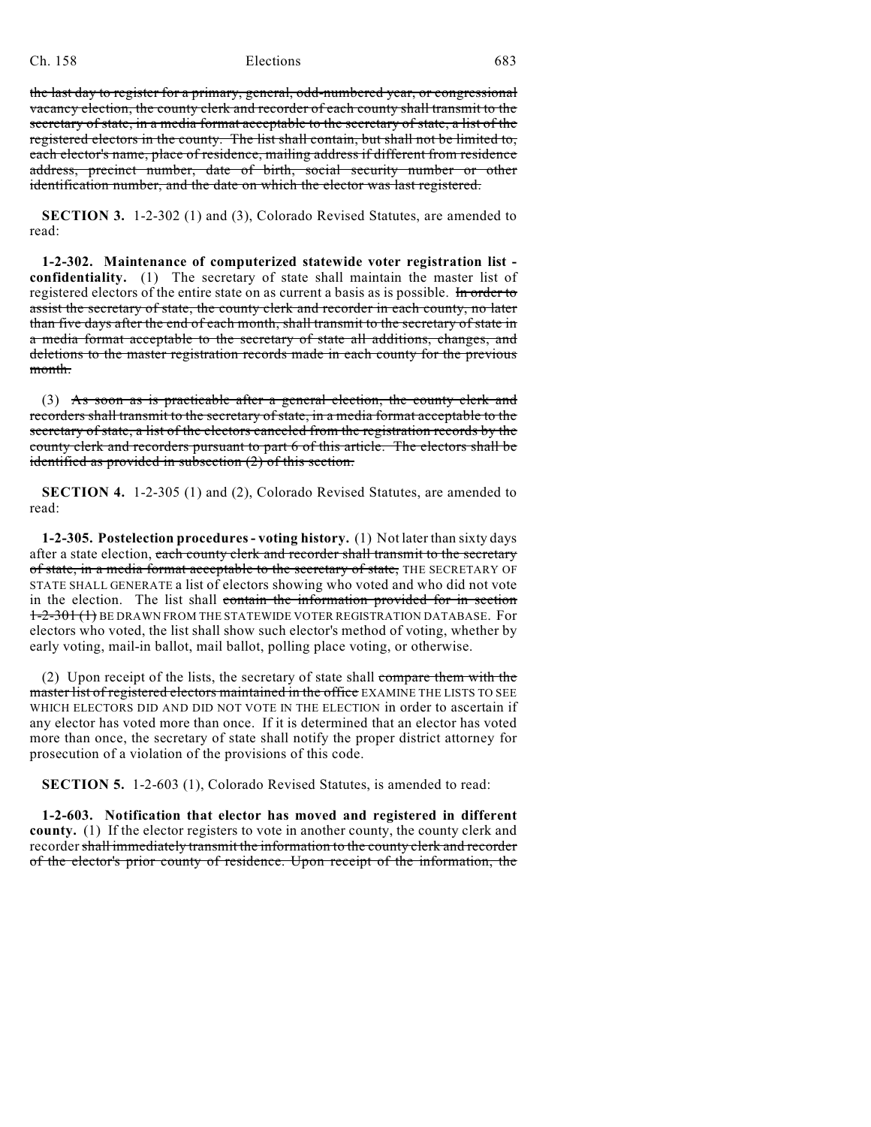## Ch. 158 Elections 683

the last day to register for a primary, general, odd-numbered year, or congressional vacancy election, the county clerk and recorder of each county shall transmit to the secretary of state, in a media format acceptable to the secretary of state, a list of the registered electors in the county. The list shall contain, but shall not be limited to, each elector's name, place of residence, mailing address if different from residence address, precinct number, date of birth, social security number or other identification number, and the date on which the elector was last registered.

**SECTION 3.** 1-2-302 (1) and (3), Colorado Revised Statutes, are amended to read:

**1-2-302. Maintenance of computerized statewide voter registration list confidentiality.** (1) The secretary of state shall maintain the master list of registered electors of the entire state on as current a basis as is possible. In order to assist the secretary of state, the county clerk and recorder in each county, no later than five days after the end of each month, shall transmit to the secretary of state in a media format acceptable to the secretary of state all additions, changes, and deletions to the master registration records made in each county for the previous month.

(3) As soon as is practicable after a general election, the county clerk and recorders shall transmit to the secretary of state, in a media format acceptable to the secretary of state, a list of the electors canceled from the registration records by the county clerk and recorders pursuant to part 6 of this article. The electors shall be identified as provided in subsection (2) of this section.

**SECTION 4.** 1-2-305 (1) and (2), Colorado Revised Statutes, are amended to read:

**1-2-305. Postelection procedures- voting history.** (1) Not later than sixty days after a state election, each county clerk and recorder shall transmit to the secretary of state, in a media format acceptable to the secretary of state, THE SECRETARY OF STATE SHALL GENERATE a list of electors showing who voted and who did not vote in the election. The list shall contain the information provided for in section 1-2-301 (1) BE DRAWN FROM THE STATEWIDE VOTER REGISTRATION DATABASE. For electors who voted, the list shall show such elector's method of voting, whether by early voting, mail-in ballot, mail ballot, polling place voting, or otherwise.

(2) Upon receipt of the lists, the secretary of state shall compare them with the master list of registered electors maintained in the office EXAMINE THE LISTS TO SEE WHICH ELECTORS DID AND DID NOT VOTE IN THE ELECTION in order to ascertain if any elector has voted more than once. If it is determined that an elector has voted more than once, the secretary of state shall notify the proper district attorney for prosecution of a violation of the provisions of this code.

**SECTION 5.** 1-2-603 (1), Colorado Revised Statutes, is amended to read:

**1-2-603. Notification that elector has moved and registered in different county.** (1) If the elector registers to vote in another county, the county clerk and recorder shall immediately transmit the information to the county clerk and recorder of the elector's prior county of residence. Upon receipt of the information, the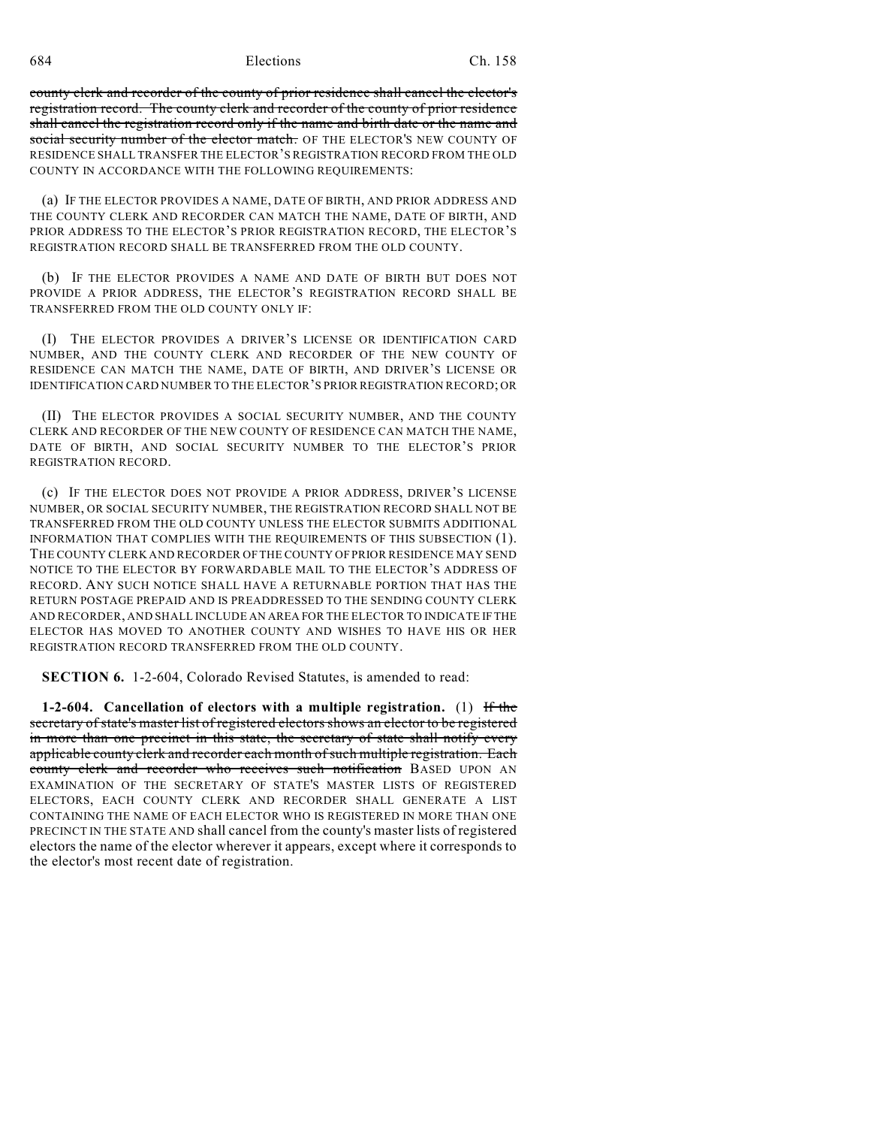684 Elections Ch. 158

county clerk and recorder of the county of prior residence shall cancel the elector's registration record. The county clerk and recorder of the county of prior residence shall cancel the registration record only if the name and birth date or the name and social security number of the elector match. OF THE ELECTOR'S NEW COUNTY OF RESIDENCE SHALL TRANSFER THE ELECTOR'S REGISTRATION RECORD FROM THE OLD COUNTY IN ACCORDANCE WITH THE FOLLOWING REQUIREMENTS:

(a) IF THE ELECTOR PROVIDES A NAME, DATE OF BIRTH, AND PRIOR ADDRESS AND THE COUNTY CLERK AND RECORDER CAN MATCH THE NAME, DATE OF BIRTH, AND PRIOR ADDRESS TO THE ELECTOR'S PRIOR REGISTRATION RECORD, THE ELECTOR'S REGISTRATION RECORD SHALL BE TRANSFERRED FROM THE OLD COUNTY.

(b) IF THE ELECTOR PROVIDES A NAME AND DATE OF BIRTH BUT DOES NOT PROVIDE A PRIOR ADDRESS, THE ELECTOR'S REGISTRATION RECORD SHALL BE TRANSFERRED FROM THE OLD COUNTY ONLY IF:

(I) THE ELECTOR PROVIDES A DRIVER'S LICENSE OR IDENTIFICATION CARD NUMBER, AND THE COUNTY CLERK AND RECORDER OF THE NEW COUNTY OF RESIDENCE CAN MATCH THE NAME, DATE OF BIRTH, AND DRIVER'S LICENSE OR IDENTIFICATION CARD NUMBER TO THE ELECTOR'S PRIOR REGISTRATION RECORD; OR

(II) THE ELECTOR PROVIDES A SOCIAL SECURITY NUMBER, AND THE COUNTY CLERK AND RECORDER OF THE NEW COUNTY OF RESIDENCE CAN MATCH THE NAME, DATE OF BIRTH, AND SOCIAL SECURITY NUMBER TO THE ELECTOR'S PRIOR REGISTRATION RECORD.

(c) IF THE ELECTOR DOES NOT PROVIDE A PRIOR ADDRESS, DRIVER'S LICENSE NUMBER, OR SOCIAL SECURITY NUMBER, THE REGISTRATION RECORD SHALL NOT BE TRANSFERRED FROM THE OLD COUNTY UNLESS THE ELECTOR SUBMITS ADDITIONAL INFORMATION THAT COMPLIES WITH THE REQUIREMENTS OF THIS SUBSECTION (1). THE COUNTY CLERK AND RECORDER OF THE COUNTY OF PRIOR RESIDENCE MAY SEND NOTICE TO THE ELECTOR BY FORWARDABLE MAIL TO THE ELECTOR'S ADDRESS OF RECORD. ANY SUCH NOTICE SHALL HAVE A RETURNABLE PORTION THAT HAS THE RETURN POSTAGE PREPAID AND IS PREADDRESSED TO THE SENDING COUNTY CLERK AND RECORDER, AND SHALL INCLUDE AN AREA FOR THE ELECTOR TO INDICATE IF THE ELECTOR HAS MOVED TO ANOTHER COUNTY AND WISHES TO HAVE HIS OR HER REGISTRATION RECORD TRANSFERRED FROM THE OLD COUNTY.

**SECTION 6.** 1-2-604, Colorado Revised Statutes, is amended to read:

**1-2-604. Cancellation of electors with a multiple registration.** (1) If the secretary of state's master list of registered electors shows an elector to be registered in more than one precinct in this state, the secretary of state shall notify every applicable county clerk and recorder each month of such multiple registration. Each county clerk and recorder who receives such notification BASED UPON AN EXAMINATION OF THE SECRETARY OF STATE'S MASTER LISTS OF REGISTERED ELECTORS, EACH COUNTY CLERK AND RECORDER SHALL GENERATE A LIST CONTAINING THE NAME OF EACH ELECTOR WHO IS REGISTERED IN MORE THAN ONE PRECINCT IN THE STATE AND shall cancel from the county's master lists of registered electors the name of the elector wherever it appears, except where it corresponds to the elector's most recent date of registration.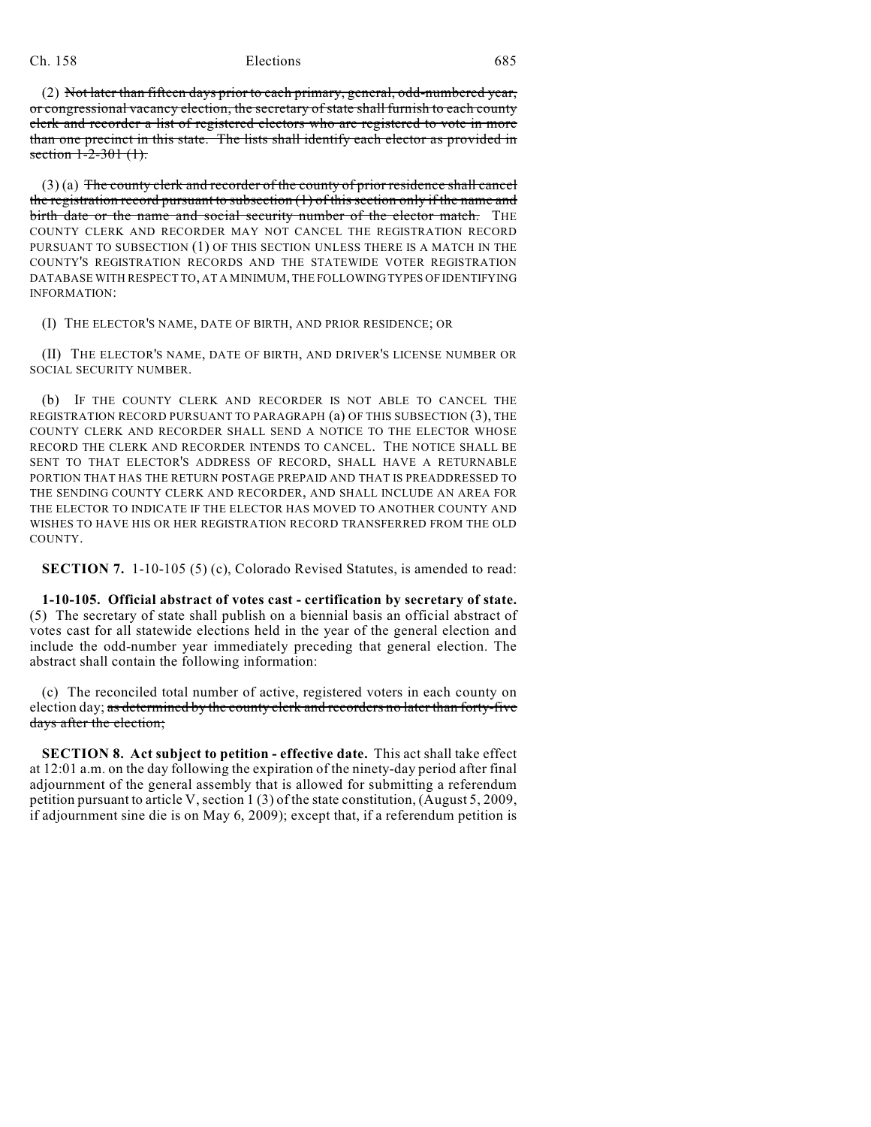## Ch. 158 Elections 685

(2) Not later than fifteen days prior to each primary, general, odd-numbered year, or congressional vacancy election, the secretary of state shall furnish to each county clerk and recorder a list of registered electors who are registered to vote in more than one precinct in this state. The lists shall identify each elector as provided in section 1-2-301 (1).

 $(3)$  (a) The county clerk and recorder of the county of prior residence shall cancel the registration record pursuant to subsection (1) of this section only if the name and birth date or the name and social security number of the elector match. THE COUNTY CLERK AND RECORDER MAY NOT CANCEL THE REGISTRATION RECORD PURSUANT TO SUBSECTION (1) OF THIS SECTION UNLESS THERE IS A MATCH IN THE COUNTY'S REGISTRATION RECORDS AND THE STATEWIDE VOTER REGISTRATION DATABASE WITH RESPECT TO, AT A MINIMUM, THE FOLLOWING TYPES OF IDENTIFYING INFORMATION:

(I) THE ELECTOR'S NAME, DATE OF BIRTH, AND PRIOR RESIDENCE; OR

(II) THE ELECTOR'S NAME, DATE OF BIRTH, AND DRIVER'S LICENSE NUMBER OR SOCIAL SECURITY NUMBER.

(b) IF THE COUNTY CLERK AND RECORDER IS NOT ABLE TO CANCEL THE REGISTRATION RECORD PURSUANT TO PARAGRAPH (a) OF THIS SUBSECTION (3), THE COUNTY CLERK AND RECORDER SHALL SEND A NOTICE TO THE ELECTOR WHOSE RECORD THE CLERK AND RECORDER INTENDS TO CANCEL. THE NOTICE SHALL BE SENT TO THAT ELECTOR'S ADDRESS OF RECORD, SHALL HAVE A RETURNABLE PORTION THAT HAS THE RETURN POSTAGE PREPAID AND THAT IS PREADDRESSED TO THE SENDING COUNTY CLERK AND RECORDER, AND SHALL INCLUDE AN AREA FOR THE ELECTOR TO INDICATE IF THE ELECTOR HAS MOVED TO ANOTHER COUNTY AND WISHES TO HAVE HIS OR HER REGISTRATION RECORD TRANSFERRED FROM THE OLD COUNTY.

**SECTION 7.** 1-10-105 (5) (c), Colorado Revised Statutes, is amended to read:

**1-10-105. Official abstract of votes cast - certification by secretary of state.** (5) The secretary of state shall publish on a biennial basis an official abstract of votes cast for all statewide elections held in the year of the general election and include the odd-number year immediately preceding that general election. The abstract shall contain the following information:

(c) The reconciled total number of active, registered voters in each county on election day; as determined by the county clerk and recorders no later than forty-five days after the election;

**SECTION 8. Act subject to petition - effective date.** This act shall take effect at 12:01 a.m. on the day following the expiration of the ninety-day period after final adjournment of the general assembly that is allowed for submitting a referendum petition pursuant to article V, section 1 (3) of the state constitution, (August 5, 2009, if adjournment sine die is on May 6, 2009); except that, if a referendum petition is